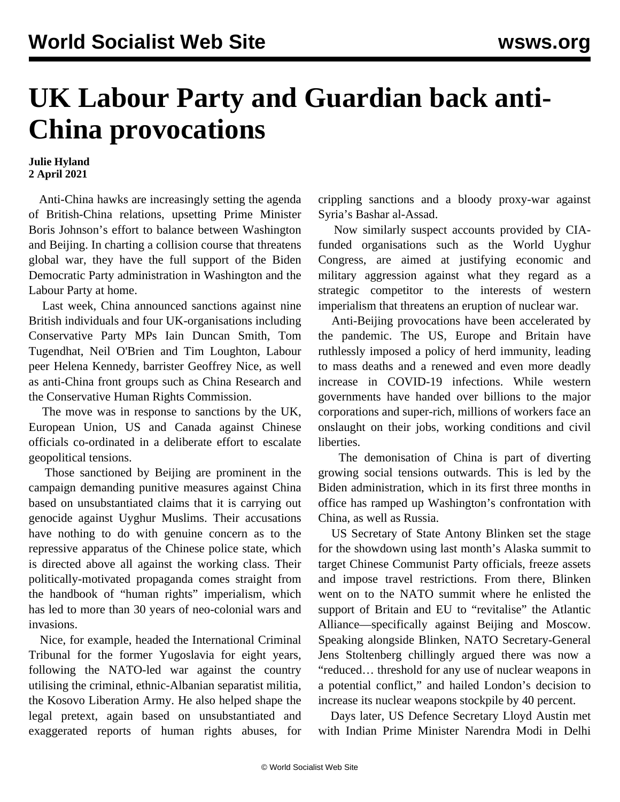## **UK Labour Party and Guardian back anti-China provocations**

## **Julie Hyland 2 April 2021**

 Anti-China hawks are increasingly setting the agenda of British-China relations, upsetting Prime Minister Boris Johnson's effort to balance between Washington and Beijing. In charting a collision course that threatens global war, they have the full support of the Biden Democratic Party administration in Washington and the Labour Party at home.

 Last week, China announced sanctions against nine British individuals and four UK-organisations including Conservative Party MPs Iain Duncan Smith, Tom Tugendhat, Neil O'Brien and Tim Loughton, Labour peer Helena Kennedy, barrister Geoffrey Nice, as well as anti-China front groups such as China Research and the Conservative Human Rights Commission.

 The move was in response to sanctions by the UK, European Union, US and Canada against Chinese officials co-ordinated in a deliberate effort to escalate geopolitical tensions.

 Those sanctioned by Beijing are prominent in the campaign demanding punitive measures against China based on unsubstantiated claims that it is carrying out genocide against Uyghur Muslims. Their accusations have nothing to do with genuine concern as to the repressive apparatus of the Chinese police state, which is directed above all against the working class. Their politically-motivated propaganda comes straight from the handbook of "human rights" imperialism, which has led to more than 30 years of neo-colonial wars and invasions.

 Nice, for example, headed the International Criminal Tribunal for the former Yugoslavia for eight years, following the NATO-led war against the country utilising the criminal, ethnic-Albanian separatist militia, the Kosovo Liberation Army. He also helped shape the legal pretext, again based on unsubstantiated and exaggerated reports of human rights abuses, for crippling sanctions and a bloody proxy-war against Syria's Bashar al-Assad.

 Now similarly suspect accounts provided by CIAfunded organisations such as the World Uyghur Congress, are aimed at justifying economic and military aggression against what they regard as a strategic competitor to the interests of western imperialism that threatens an eruption of nuclear war.

 Anti-Beijing provocations have been accelerated by the pandemic. The US, Europe and Britain have ruthlessly imposed a policy of herd immunity, leading to mass deaths and a renewed and even more deadly increase in COVID-19 infections. While western governments have handed over billions to the major corporations and super-rich, millions of workers face an onslaught on their jobs, working conditions and civil liberties.

 The demonisation of China is part of diverting growing social tensions outwards. This is led by the Biden administration, which in its first three months in office has ramped up Washington's confrontation with China, as well as Russia.

 US Secretary of State Antony Blinken set the stage for the showdown using last month's Alaska summit to target Chinese Communist Party officials, freeze assets and impose travel restrictions. From there, Blinken went on to the NATO summit where he enlisted the support of Britain and EU to "revitalise" the Atlantic Alliance—specifically against Beijing and Moscow. Speaking alongside Blinken, NATO Secretary-General Jens Stoltenberg chillingly argued there was now a "reduced… threshold for any use of nuclear weapons in a potential conflict," and hailed London's decision to increase its nuclear weapons stockpile by 40 percent.

 Days later, US Defence Secretary Lloyd Austin met with Indian Prime Minister Narendra Modi in Delhi